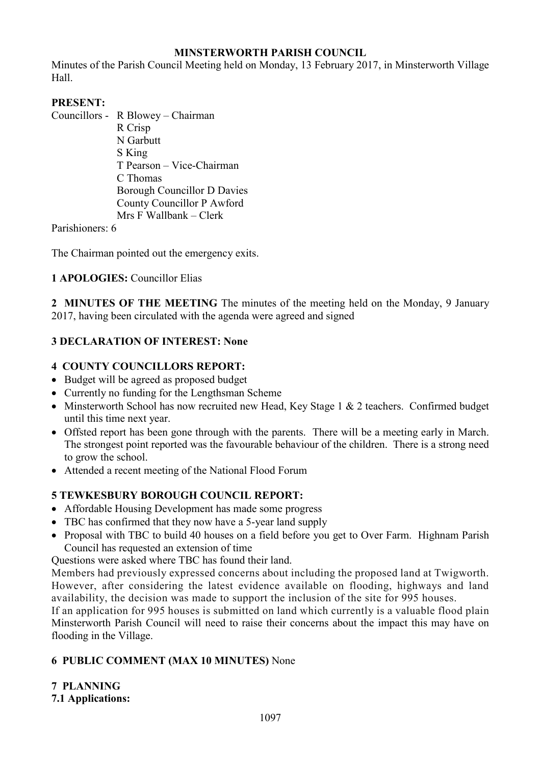# **MINSTERWORTH PARISH COUNCIL**

Minutes of the Parish Council Meeting held on Monday, 13 February 2017, in Minsterworth Village Hall.

#### **PRESENT:**

Councillors - R Blowey – Chairman

 R Crisp N Garbutt S King T Pearson – Vice-Chairman C Thomas Borough Councillor D Davies County Councillor P Awford Mrs F Wallbank – Clerk

Parishioners: 6

The Chairman pointed out the emergency exits.

#### **1 APOLOGIES:** Councillor Elias

**2 MINUTES OF THE MEETING** The minutes of the meeting held on the Monday, 9 January 2017, having been circulated with the agenda were agreed and signed

#### **3 DECLARATION OF INTEREST: None**

#### **4 COUNTY COUNCILLORS REPORT:**

- Budget will be agreed as proposed budget
- Currently no funding for the Lengthsman Scheme
- Minsterworth School has now recruited new Head, Key Stage 1 & 2 teachers. Confirmed budget until this time next year.
- Offsted report has been gone through with the parents. There will be a meeting early in March. The strongest point reported was the favourable behaviour of the children. There is a strong need to grow the school.
- Attended a recent meeting of the National Flood Forum

# **5 TEWKESBURY BOROUGH COUNCIL REPORT:**

- Affordable Housing Development has made some progress
- TBC has confirmed that they now have a 5-year land supply
- Proposal with TBC to build 40 houses on a field before you get to Over Farm. Highnam Parish Council has requested an extension of time

Questions were asked where TBC has found their land.

Members had previously expressed concerns about including the proposed land at Twigworth. However, after considering the latest evidence available on flooding, highways and land availability, the decision was made to support the inclusion of the site for 995 houses.

If an application for 995 houses is submitted on land which currently is a valuable flood plain Minsterworth Parish Council will need to raise their concerns about the impact this may have on flooding in the Village.

# **6 PUBLIC COMMENT (MAX 10 MINUTES)** None

# **7 PLANNING**

**7.1 Applications:**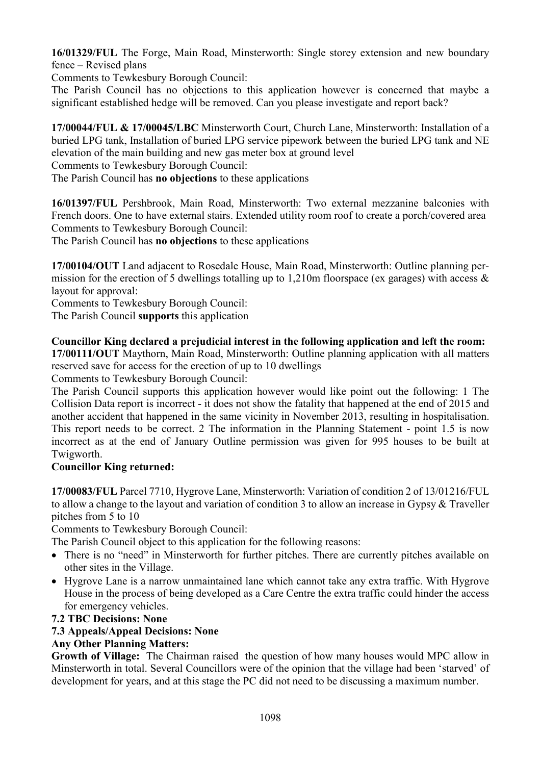**16/01329/FUL** The Forge, Main Road, Minsterworth: Single storey extension and new boundary fence – Revised plans

Comments to Tewkesbury Borough Council:

The Parish Council has no objections to this application however is concerned that maybe a significant established hedge will be removed. Can you please investigate and report back?

**17/00044/FUL & 17/00045/LBC** Minsterworth Court, Church Lane, Minsterworth: Installation of a buried LPG tank, Installation of buried LPG service pipework between the buried LPG tank and NE elevation of the main building and new gas meter box at ground level

Comments to Tewkesbury Borough Council:

The Parish Council has **no objections** to these applications

**16/01397/FUL** Pershbrook, Main Road, Minsterworth: Two external mezzanine balconies with French doors. One to have external stairs. Extended utility room roof to create a porch/covered area Comments to Tewkesbury Borough Council:

The Parish Council has **no objections** to these applications

**17/00104/OUT** Land adjacent to Rosedale House, Main Road, Minsterworth: Outline planning permission for the erection of 5 dwellings totalling up to 1,210m floorspace (ex garages) with access  $\&$ layout for approval:

Comments to Tewkesbury Borough Council:

The Parish Council **supports** this application

#### **Councillor King declared a prejudicial interest in the following application and left the room:**

**17/00111/OUT** Maythorn, Main Road, Minsterworth: Outline planning application with all matters reserved save for access for the erection of up to 10 dwellings

Comments to Tewkesbury Borough Council:

The Parish Council supports this application however would like point out the following: 1 The Collision Data report is incorrect - it does not show the fatality that happened at the end of 2015 and another accident that happened in the same vicinity in November 2013, resulting in hospitalisation. This report needs to be correct. 2 The information in the Planning Statement - point 1.5 is now incorrect as at the end of January Outline permission was given for 995 houses to be built at Twigworth.

#### **Councillor King returned:**

**17/00083/FUL** Parcel 7710, Hygrove Lane, Minsterworth: Variation of condition 2 of 13/01216/FUL to allow a change to the layout and variation of condition 3 to allow an increase in Gypsy & Traveller pitches from 5 to 10

Comments to Tewkesbury Borough Council:

The Parish Council object to this application for the following reasons:

- There is no "need" in Minsterworth for further pitches. There are currently pitches available on other sites in the Village.
- Hygrove Lane is a narrow unmaintained lane which cannot take any extra traffic. With Hygrove House in the process of being developed as a Care Centre the extra traffic could hinder the access for emergency vehicles.
- **7.2 TBC Decisions: None**

# **7.3 Appeals/Appeal Decisions: None**

# **Any Other Planning Matters:**

**Growth of Village:** The Chairman raised the question of how many houses would MPC allow in Minsterworth in total. Several Councillors were of the opinion that the village had been 'starved' of development for years, and at this stage the PC did not need to be discussing a maximum number.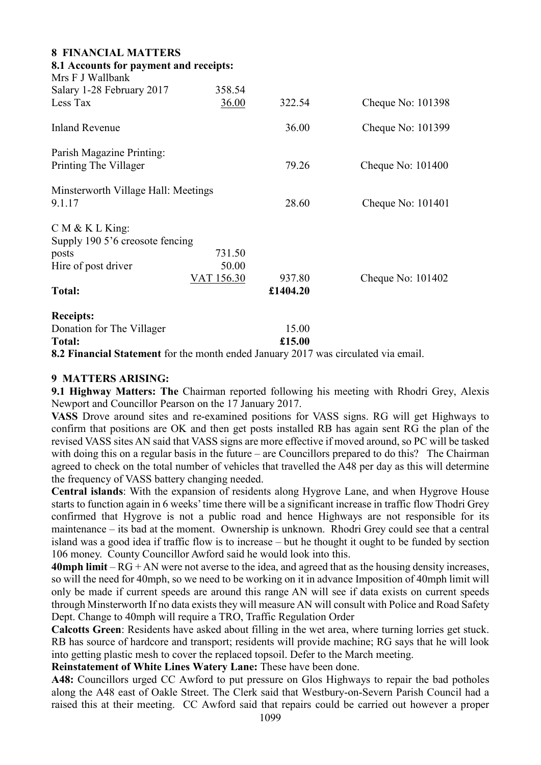| <b>8 FINANCIAL MATTERS</b>             |            |          |                     |
|----------------------------------------|------------|----------|---------------------|
| 8.1 Accounts for payment and receipts: |            |          |                     |
| Mrs F J Wallbank                       |            |          |                     |
| Salary 1-28 February 2017              | 358.54     |          |                     |
| Less Tax                               | 36.00      | 322.54   | Cheque No: 101398   |
| <b>Inland Revenue</b>                  |            | 36.00    | Cheque No: 101399   |
| Parish Magazine Printing:              |            |          |                     |
| Printing The Villager                  |            | 79.26    | Cheque No: $101400$ |
| Minsterworth Village Hall: Meetings    |            |          |                     |
| 9.1.17                                 |            | 28.60    | Cheque No: 101401   |
| CM & K L King                          |            |          |                     |
| Supply 190 5'6 creosote fencing        |            |          |                     |
| posts                                  | 731.50     |          |                     |
| Hire of post driver                    | 50.00      |          |                     |
|                                        | VAT 156.30 | 937.80   | Cheque No: $101402$ |
| <b>Total:</b>                          |            | £1404.20 |                     |
| <b>Receipts:</b>                       |            |          |                     |
| Donation for The Villager              |            | 15.00    |                     |
| <b>Total:</b>                          |            | £15.00   |                     |
|                                        |            |          |                     |

#### **8.2 Financial Statement** for the month ended January 2017 was circulated via email.

#### **9 MATTERS ARISING:**

**9.1 Highway Matters: The** Chairman reported following his meeting with Rhodri Grey, Alexis Newport and Councillor Pearson on the 17 January 2017.

**VASS** Drove around sites and re-examined positions for VASS signs. RG will get Highways to confirm that positions are OK and then get posts installed RB has again sent RG the plan of the revised VASS sites AN said that VASS signs are more effective if moved around, so PC will be tasked with doing this on a regular basis in the future – are Councillors prepared to do this? The Chairman agreed to check on the total number of vehicles that travelled the A48 per day as this will determine the frequency of VASS battery changing needed.

**Central islands**: With the expansion of residents along Hygrove Lane, and when Hygrove House starts to function again in 6 weeks' time there will be a significant increase in traffic flow Thodri Grey confirmed that Hygrove is not a public road and hence Highways are not responsible for its maintenance – its bad at the moment. Ownership is unknown. Rhodri Grey could see that a central island was a good idea if traffic flow is to increase – but he thought it ought to be funded by section 106 money. County Councillor Awford said he would look into this.

**40mph limit** – RG + AN were not averse to the idea, and agreed that as the housing density increases, so will the need for 40mph, so we need to be working on it in advance Imposition of 40mph limit will only be made if current speeds are around this range AN will see if data exists on current speeds through Minsterworth If no data exists they will measure AN will consult with Police and Road Safety Dept. Change to 40mph will require a TRO, Traffic Regulation Order

**Calcotts Green**: Residents have asked about filling in the wet area, where turning lorries get stuck. RB has source of hardcore and transport; residents will provide machine; RG says that he will look into getting plastic mesh to cover the replaced topsoil. Defer to the March meeting.

#### **Reinstatement of White Lines Watery Lane:** These have been done.

**A48:** Councillors urged CC Awford to put pressure on Glos Highways to repair the bad potholes along the A48 east of Oakle Street. The Clerk said that Westbury-on-Severn Parish Council had a raised this at their meeting. CC Awford said that repairs could be carried out however a proper